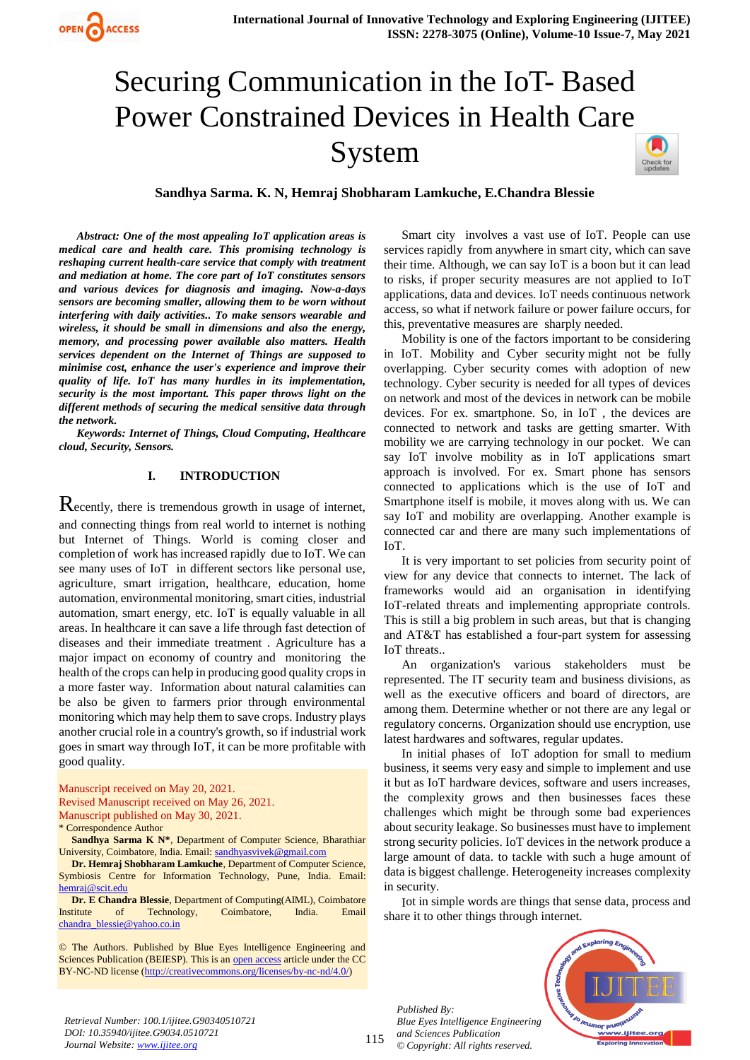

# Securing Communication in the IoT- Based Power Constrained Devices in Health Care System



# **Sandhya Sarma. K. N, Hemraj Shobharam Lamkuche, E.Chandra Blessie**

*Abstract: One of the most appealing IoT application areas is medical care and health care. This promising technology is reshaping current health-care service that comply with treatment and mediation at home. The core part of IoT constitutes sensors and various devices for diagnosis and imaging. Now-a-days sensors are becoming smaller, allowing them to be worn without interfering with daily activities.. To make sensors wearable and wireless, it should be small in dimensions and also the energy, memory, and processing power available also matters. Health services dependent on the Internet of Things are supposed to minimise cost, enhance the user's experience and improve their quality of life. IoT has many hurdles in its implementation, security is the most important. This paper throws light on the different methods of securing the medical sensitive data through the network.*

*Keywords: Internet of Things, Cloud Computing, Healthcare cloud, Security, Sensors.*

#### **I. INTRODUCTION**

Recently, there is tremendous growth in usage of internet, and connecting things from real world to internet is nothing but Internet of Things. World is coming closer and completion of work has increased rapidly due to IoT. We can see many uses of IoT in different sectors like personal use, agriculture, smart irrigation, healthcare, education, home automation, environmental monitoring, smart cities, industrial automation, smart energy, etc. IoT is equally valuable in all areas. In healthcare it can save a life through fast detection of diseases and their immediate treatment . Agriculture has a major impact on economy of country and monitoring the health of the crops can help in producing good quality crops in a more faster way. Information about natural calamities can be also be given to farmers prior through environmental monitoring which may help them to save crops. Industry plays another crucial role in a country's growth, so if industrial work goes in smart way through IoT, it can be more profitable with good quality.

Manuscript received on May 20, 2021. Revised Manuscript received on May 26, 2021. Manuscript published on May 30, 2021.

\* Correspondence Author

**Sandhya Sarma K N\***, Department of Computer Science, Bharathiar University, Coimbatore, India. Email[: sandhyasvivek@gmail.com](mailto:sandhyasvivek@gmail.com)

**Dr. Hemraj Shobharam Lamkuche**, Department of Computer Science, Symbiosis Centre for Information Technology, Pune, India. Email: [hemraj@scit.edu](mailto:hemraj@scit.edu)

**Dr. E Chandra Blessie**, Department of Computing(AIML), Coimbatore Institute of Technology, Coimbatore, India. Email [chandra\\_blessie@yahoo.co.in](mailto:chandra_blessie@yahoo.co.in)

© The Authors. Published by Blue Eyes Intelligence Engineering and Sciences Publication (BEIESP). This is an [open access](https://www.openaccess.nl/en/open-publications) article under the CC BY-NC-ND license [\(http://creativecommons.org/licenses/by-nc-nd/4.0/\)](http://creativecommons.org/licenses/by-nc-nd/4.0/)

Smart city involves a vast use of IoT. People can use services rapidly from anywhere in smart city, which can save their time. Although, we can say IoT is a boon but it can lead to risks, if proper security measures are not applied to IoT applications, data and devices. IoT needs continuous network access, so what if network failure or power failure occurs, for this, preventative measures are sharply needed.

Mobility is one of the factors important to be considering in IoT. Mobility and Cyber security might not be fully overlapping. Cyber security comes with adoption of new technology. Cyber security is needed for all types of devices on network and most of the devices in network can be mobile devices. For ex. smartphone. So, in IoT , the devices are connected to network and tasks are getting smarter. With mobility we are carrying technology in our pocket. We can say IoT involve mobility as in IoT applications smart approach is involved. For ex. Smart phone has sensors connected to applications which is the use of IoT and Smartphone itself is mobile, it moves along with us. We can say IoT and mobility are overlapping. Another example is connected car and there are many such implementations of IoT.

It is very important to set policies from security point of view for any device that connects to internet. The lack of frameworks would aid an organisation in identifying IoT-related threats and implementing appropriate controls. This is still a big problem in such areas, but that is changing and AT&T has established a four-part system for assessing IoT threats..

An organization's various stakeholders must be represented. The IT security team and business divisions, as well as the executive officers and board of directors, are among them. Determine whether or not there are any legal or regulatory concerns. Organization should use encryption, use latest hardwares and softwares, regular updates.

In initial phases of IoT adoption for small to medium business, it seems very easy and simple to implement and use it but as IoT hardware devices, software and users increases, the complexity grows and then businesses faces these challenges which might be through some bad experiences about security leakage. So businesses must have to implement strong security policies. IoT devices in the network produce a large amount of data. to tackle with such a huge amount of data is biggest challenge. Heterogeneity increases complexity in security.

Iot in simple words are things that sense data, process and share it to other things through internet.



*Retrieval Number: 100.1/ijitee.G90340510721 DOI: 10.35940/ijitee.G9034.0510721 Journal Website: www.ijitee.org*

115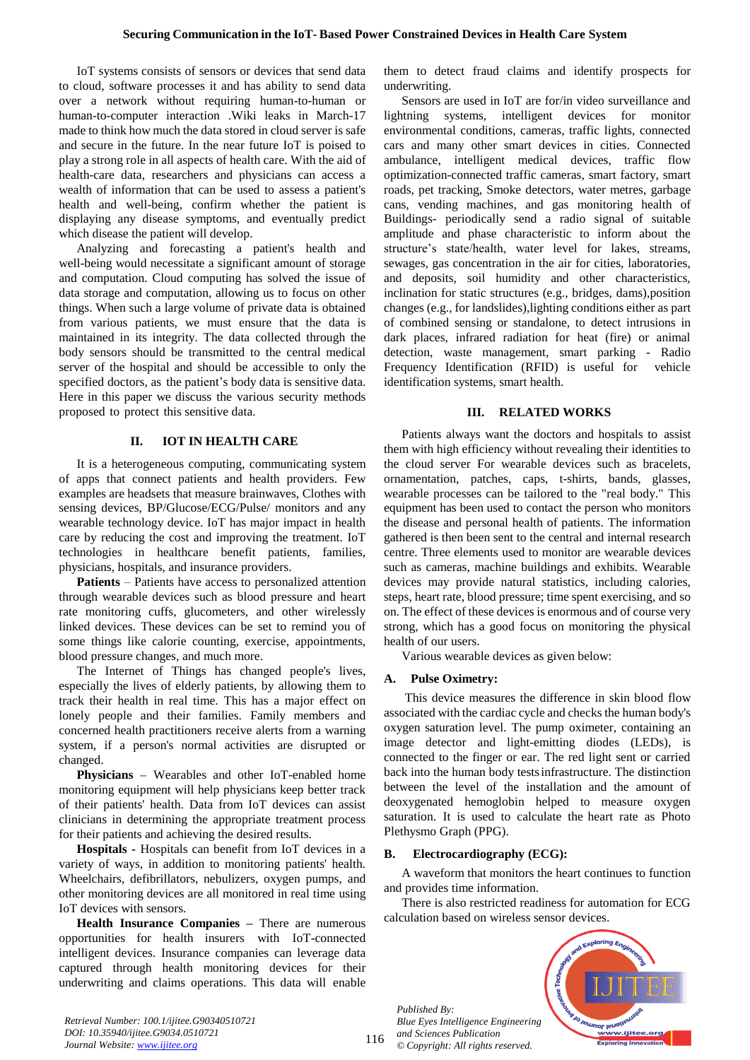IoT systems consists of sensors or devices that send data to cloud, software processes it and has ability to send data over a network without requiring human-to-human or human-to-computer interaction .Wiki leaks in March-17 made to think how much the data stored in cloud server is safe and secure in the future. In the near future IoT is poised to play a strong role in all aspects of health care. With the aid of health-care data, researchers and physicians can access a wealth of information that can be used to assess a patient's health and well-being, confirm whether the patient is displaying any disease symptoms, and eventually predict which disease the patient will develop.

Analyzing and forecasting a patient's health and well-being would necessitate a significant amount of storage and computation. Cloud computing has solved the issue of data storage and computation, allowing us to focus on other things. When such a large volume of private data is obtained from various patients, we must ensure that the data is maintained in its integrity. The data collected through the body sensors should be transmitted to the central medical server of the hospital and should be accessible to only the specified doctors, as the patient's body data is sensitive data. Here in this paper we discuss the various security methods proposed to protect this sensitive data.

## **II. IOT IN HEALTH CARE**

It is a heterogeneous computing, communicating system of apps that connect patients and health providers. Few examples are headsets that measure brainwaves, Clothes with sensing devices, BP/Glucose/ECG/Pulse/ monitors and any wearable technology device. IoT has major impact in health care by reducing the cost and improving the treatment. IoT technologies in healthcare benefit patients, families, physicians, hospitals, and insurance providers.

**Patients** – Patients have access to personalized attention through wearable devices such as blood pressure and heart rate monitoring cuffs, glucometers, and other wirelessly linked devices. These devices can be set to remind you of some things like calorie counting, exercise, appointments, blood pressure changes, and much more.

The Internet of Things has changed people's lives, especially the lives of elderly patients, by allowing them to track their health in real time. This has a major effect on lonely people and their families. Family members and concerned health practitioners receive alerts from a warning system, if a person's normal activities are disrupted or changed.

**Physicians –** Wearables and other IoT-enabled home monitoring equipment will help physicians keep better track of their patients' health. Data from IoT devices can assist clinicians in determining the appropriate treatment process for their patients and achieving the desired results.

**Hospitals -** Hospitals can benefit from IoT devices in a variety of ways, in addition to monitoring patients' health. Wheelchairs, defibrillators, nebulizers, oxygen pumps, and other monitoring devices are all monitored in real time using IoT devices with sensors.

**Health Insurance Companies –** There are numerous opportunities for health insurers with IoT-connected intelligent devices. Insurance companies can leverage data captured through health monitoring devices for their underwriting and claims operations. This data will enable

them to detect fraud claims and identify prospects for underwriting.

Sensors are used in IoT are for/in video surveillance and lightning systems, intelligent devices for monitor environmental conditions, cameras, traffic lights, connected cars and many other smart devices in cities. Connected ambulance, intelligent medical devices, traffic flow optimization-connected traffic cameras, smart factory, smart roads, pet tracking, Smoke detectors, water metres, garbage cans, vending machines, and gas monitoring health of Buildings- periodically send a radio signal of suitable amplitude and phase characteristic to inform about the structure's state/health, water level for lakes, streams, sewages, gas concentration in the air for cities, laboratories, and deposits, soil humidity and other characteristics, inclination for static structures (e.g., bridges, dams),position changes (e.g., for landslides),lighting conditions either as part of combined sensing or standalone, to detect intrusions in dark places, infrared radiation for heat (fire) or animal detection, waste management, smart parking - Radio Frequency Identification (RFID) is useful for vehicle identification systems, smart health.

## **III. RELATED WORKS**

Patients always want the doctors and hospitals to assist them with high efficiency without revealing their identities to the cloud server For wearable devices such as bracelets, ornamentation, patches, caps, t-shirts, bands, glasses, wearable processes can be tailored to the "real body." This equipment has been used to contact the person who monitors the disease and personal health of patients. The information gathered is then been sent to the central and internal research centre. Three elements used to monitor are wearable devices such as cameras, machine buildings and exhibits. Wearable devices may provide natural statistics, including calories, steps, heart rate, blood pressure; time spent exercising, and so on. The effect of these devices is enormous and of course very strong, which has a good focus on monitoring the physical health of our users.

Various wearable devices as given below:

# **A. Pulse Oximetry:**

This device measures the difference in skin blood flow associated with the cardiac cycle and checks the human body's oxygen saturation level. The pump oximeter, containing an image detector and light-emitting diodes (LEDs), is connected to the finger or ear. The red light sent or carried back into the human body testsinfrastructure. The distinction between the level of the installation and the amount of deoxygenated hemoglobin helped to measure oxygen saturation. It is used to calculate the heart rate as Photo Plethysmo Graph (PPG).

#### **B. Electrocardiography (ECG):**

A waveform that monitors the heart continues to function and provides time information.

There is also restricted readiness for automation for ECG calculation based on wireless sensor devices.

*Published By: Blue Eyes Intelligence Engineering and Sciences Publication © Copyright: All rights reserved.*



*Retrieval Number: 100.1/ijitee.G90340510721 DOI: 10.35940/ijitee.G9034.0510721 Journal Website: www.ijitee.org*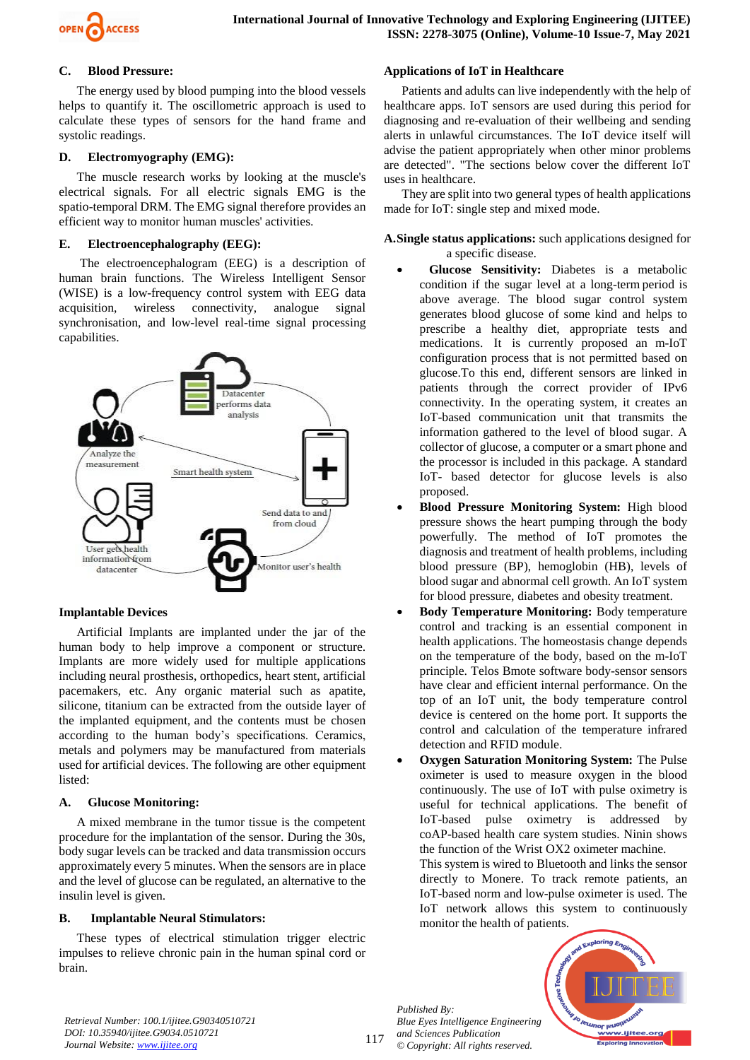

# **C. Blood Pressure:**

The energy used by blood pumping into the blood vessels helps to quantify it. The oscillometric approach is used to calculate these types of sensors for the hand frame and systolic readings.

## **D. Electromyography (EMG):**

The muscle research works by looking at the muscle's electrical signals. For all electric signals EMG is the spatio-temporal DRM. The EMG signal therefore provides an efficient way to monitor human muscles' activities.

## **E. Electroencephalography (EEG):**

The electroencephalogram (EEG) is a description of human brain functions. The Wireless Intelligent Sensor (WISE) is a low-frequency control system with EEG data acquisition, wireless connectivity, analogue signal synchronisation, and low-level real-time signal processing capabilities.



#### **Implantable Devices**

Artificial Implants are implanted under the jar of the human body to help improve a component or structure. Implants are more widely used for multiple applications including neural prosthesis, orthopedics, heart stent, artificial pacemakers, etc. Any organic material such as apatite, silicone, titanium can be extracted from the outside layer of the implanted equipment, and the contents must be chosen according to the human body's specifications. Ceramics, metals and polymers may be manufactured from materials used for artificial devices. The following are other equipment listed:

# **A. Glucose Monitoring:**

A mixed membrane in the tumor tissue is the competent procedure for the implantation of the sensor. During the 30s, body sugar levels can be tracked and data transmission occurs approximately every 5 minutes. When the sensors are in place and the level of glucose can be regulated, an alternative to the insulin level is given.

#### **B. Implantable Neural Stimulators:**

These types of electrical stimulation trigger electric impulses to relieve chronic pain in the human spinal cord or brain.

# **Applications of IoT in Healthcare**

Patients and adults can live independently with the help of healthcare apps. IoT sensors are used during this period for diagnosing and re-evaluation of their wellbeing and sending alerts in unlawful circumstances. The IoT device itself will advise the patient appropriately when other minor problems are detected". "The sections below cover the different IoT uses in healthcare.

They are split into two general types of health applications made for IoT: single step and mixed mode.

**A.Single status applications:** such applications designed for a specific disease.

- **Glucose Sensitivity:** Diabetes is a metabolic condition if the sugar level at a long-term period is above average. The blood sugar control system generates blood glucose of some kind and helps to prescribe a healthy diet, appropriate tests and medications. It is currently proposed an m-IoT configuration process that is not permitted based on glucose.To this end, different sensors are linked in patients through the correct provider of IPv6 connectivity. In the operating system, it creates an IoT-based communication unit that transmits the information gathered to the level of blood sugar. A collector of glucose, a computer or a smart phone and the processor is included in this package. A standard IoT- based detector for glucose levels is also proposed.
- **Blood Pressure Monitoring System:** High blood pressure shows the heart pumping through the body powerfully. The method of IoT promotes the diagnosis and treatment of health problems, including blood pressure (BP), hemoglobin (HB), levels of blood sugar and abnormal cell growth. An IoT system for blood pressure, diabetes and obesity treatment.
- **Body Temperature Monitoring:** Body temperature control and tracking is an essential component in health applications. The homeostasis change depends on the temperature of the body, based on the m-IoT principle. Telos Bmote software body-sensor sensors have clear and efficient internal performance. On the top of an IoT unit, the body temperature control device is centered on the home port. It supports the control and calculation of the temperature infrared detection and RFID module.
- **Oxygen Saturation Monitoring System:** The Pulse oximeter is used to measure oxygen in the blood continuously. The use of IoT with pulse oximetry is useful for technical applications. The benefit of IoT-based pulse oximetry is addressed by coAP-based health care system studies. Ninin shows the function of the Wrist OX2 oximeter machine.

This system is wired to Bluetooth and links the sensor directly to Monere. To track remote patients, an IoT-based norm and low-pulse oximeter is used. The IoT network allows this system to continuously monitor the health of patients.





*Retrieval Number: 100.1/ijitee.G90340510721 DOI: 10.35940/ijitee.G9034.0510721 Journal Website: www.ijitee.org*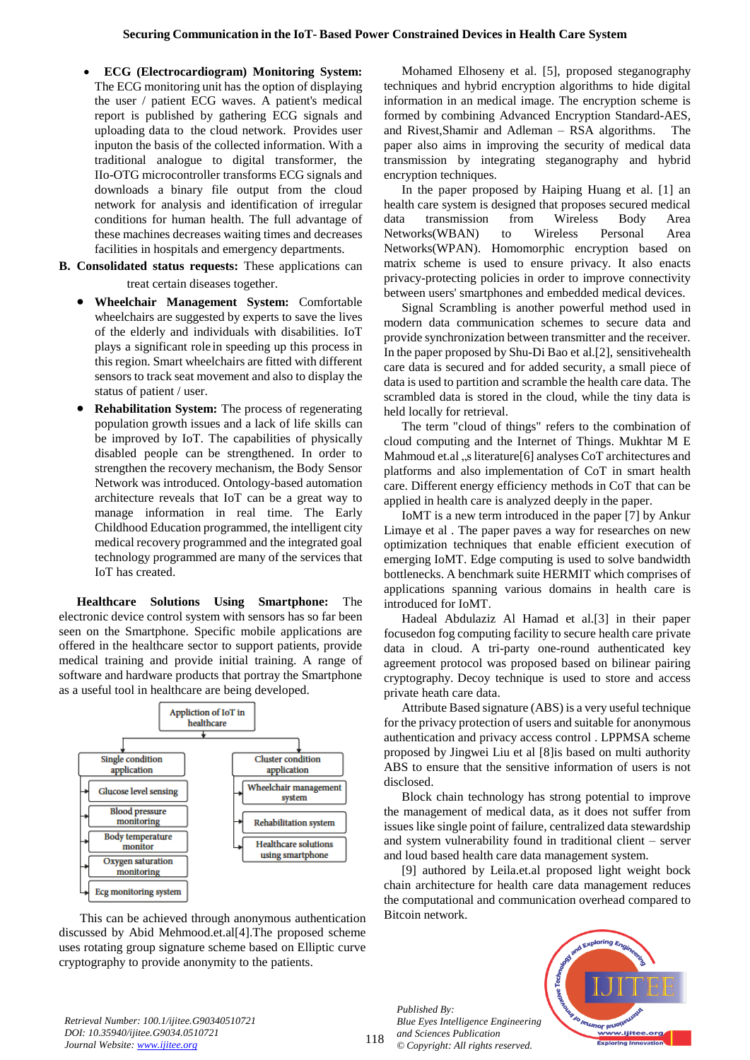- **ECG (Electrocardiogram) Monitoring System:** The ECG monitoring unit has the option of displaying the user / patient ECG waves. A patient's medical report is published by gathering ECG signals and uploading data to the cloud network. Provides user inputon the basis of the collected information. With a traditional analogue to digital transformer, the IIo-OTG microcontroller transforms ECG signals and downloads a binary file output from the cloud network for analysis and identification of irregular conditions for human health. The full advantage of these machines decreases waiting times and decreases facilities in hospitals and emergency departments.
- **B. Consolidated status requests:** These applications can treat certain diseases together.
	- **Wheelchair Management System:** Comfortable wheelchairs are suggested by experts to save the lives of the elderly and individuals with disabilities. IoT plays a significant role in speeding up this process in this region. Smart wheelchairs are fitted with different sensors to track seat movement and also to display the status of patient / user.
	- **Rehabilitation System:** The process of regenerating population growth issues and a lack of life skills can be improved by IoT. The capabilities of physically disabled people can be strengthened. In order to strengthen the recovery mechanism, the Body Sensor Network was introduced. Ontology-based automation architecture reveals that IoT can be a great way to manage information in real time. The Early Childhood Education programmed, the intelligent city medical recovery programmed and the integrated goal technology programmed are many of the services that IoT has created.

**Healthcare Solutions Using Smartphone:** The electronic device control system with sensors has so far been seen on the Smartphone. Specific mobile applications are offered in the healthcare sector to support patients, provide medical training and provide initial training. A range of software and hardware products that portray the Smartphone as a useful tool in healthcare are being developed.



This can be achieved through anonymous authentication discussed by Abid Mehmood.et.al[4].The proposed scheme uses rotating group signature scheme based on Elliptic curve cryptography to provide anonymity to the patients.

Mohamed Elhoseny et al. [5], proposed steganography techniques and hybrid encryption algorithms to hide digital information in an medical image. The encryption scheme is formed by combining Advanced Encryption Standard-AES, and Rivest,Shamir and Adleman – RSA algorithms. The paper also aims in improving the security of medical data transmission by integrating steganography and hybrid encryption techniques.

In the paper proposed by Haiping Huang et al. [1] an health care system is designed that proposes secured medical data transmission from Wireless Body Area Networks(WBAN) to Wireless Personal Area Networks(WPAN). Homomorphic encryption based on matrix scheme is used to ensure privacy. It also enacts privacy-protecting policies in order to improve connectivity between users' smartphones and embedded medical devices.

Signal Scrambling is another powerful method used in modern data communication schemes to secure data and provide synchronization between transmitter and the receiver. In the paper proposed by Shu-Di Bao et al.[2], sensitivehealth care data is secured and for added security, a small piece of data is used to partition and scramble the health care data. The scrambled data is stored in the cloud, while the tiny data is held locally for retrieval.

The term "cloud of things" refers to the combination of cloud computing and the Internet of Things. Mukhtar M E Mahmoud et.al ,,s literature[6] analyses CoT architectures and platforms and also implementation of CoT in smart health care. Different energy efficiency methods in CoT that can be applied in health care is analyzed deeply in the paper.

IoMT is a new term introduced in the paper [7] by Ankur Limaye et al . The paper paves a way for researches on new optimization techniques that enable efficient execution of emerging IoMT. Edge computing is used to solve bandwidth bottlenecks. A benchmark suite HERMIT which comprises of applications spanning various domains in health care is introduced for IoMT.

Hadeal Abdulaziz Al Hamad et al.[3] in their paper focusedon fog computing facility to secure health care private data in cloud. A tri-party one-round authenticated key agreement protocol was proposed based on bilinear pairing cryptography. Decoy technique is used to store and access private heath care data.

Attribute Based signature (ABS) is a very useful technique for the privacy protection of users and suitable for anonymous authentication and privacy access control . LPPMSA scheme proposed by Jingwei Liu et al [8]is based on multi authority ABS to ensure that the sensitive information of users is not disclosed.

Block chain technology has strong potential to improve the management of medical data, as it does not suffer from issues like single point of failure, centralized data stewardship and system vulnerability found in traditional client – server and loud based health care data management system.

[9] authored by Leila.et.al proposed light weight bock chain architecture for health care data management reduces the computational and communication overhead compared to Bitcoin network.



*Retrieval Number: 100.1/ijitee.G90340510721 DOI: 10.35940/ijitee.G9034.0510721 Journal Website: www.ijitee.org*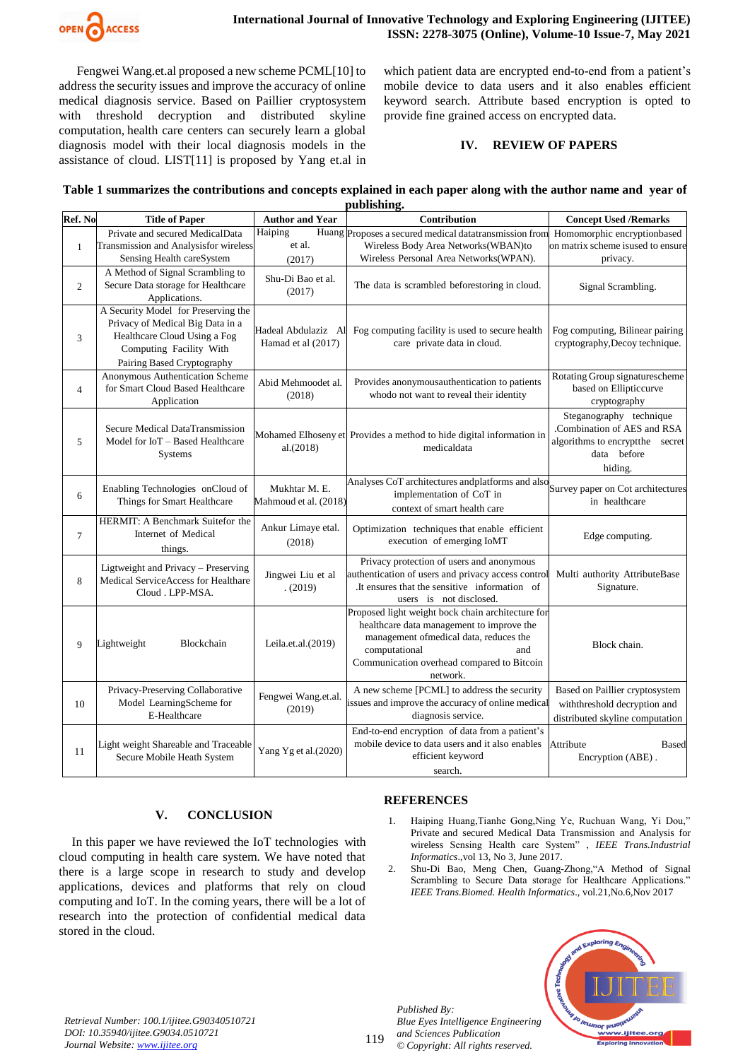

Fengwei Wang.et.al proposed a new scheme PCML[10] to address the security issues and improve the accuracy of online medical diagnosis service. Based on Paillier cryptosystem with threshold decryption and distributed skyline computation, health care centers can securely learn a global diagnosis model with their local diagnosis models in the assistance of cloud. LIST[11] is proposed by Yang et.al in

which patient data are encrypted end-to-end from a patient's mobile device to data users and it also enables efficient keyword search. Attribute based encryption is opted to provide fine grained access on encrypted data.

## **IV. REVIEW OF PAPERS**

## **Table 1 summarizes the contributions and concepts explained in each paper along with the author name and year of publishing.**

| Ref. No        | <b>Title of Paper</b>                                                                          | <b>Author and Year</b>                    | Contribution                                                                             | <b>Concept Used /Remarks</b>                                      |
|----------------|------------------------------------------------------------------------------------------------|-------------------------------------------|------------------------------------------------------------------------------------------|-------------------------------------------------------------------|
|                | Private and secured MedicalData                                                                | Haiping                                   | Huang Proposes a secured medical datatransmission from                                   | Homomorphic encryptionbased                                       |
| $\mathbf{1}$   | Transmission and Analysisfor wireless                                                          | et al.                                    | Wireless Body Area Networks(WBAN)to                                                      | on matrix scheme isused to ensure                                 |
|                | Sensing Health careSystem                                                                      | (2017)                                    | Wireless Personal Area Networks(WPAN).                                                   | privacy.                                                          |
|                | A Method of Signal Scrambling to                                                               |                                           |                                                                                          |                                                                   |
| 2              | Secure Data storage for Healthcare                                                             | Shu-Di Bao et al.                         | The data is scrambled beforestoring in cloud.                                            | Signal Scrambling.                                                |
|                | Applications.                                                                                  | (2017)                                    |                                                                                          |                                                                   |
|                | A Security Model for Preserving the                                                            |                                           |                                                                                          |                                                                   |
| 3              | Privacy of Medical Big Data in a                                                               | Hadeal Abdulaziz Al<br>Hamad et al (2017) | Fog computing facility is used to secure health<br>care private data in cloud.           |                                                                   |
|                | Healthcare Cloud Using a Fog                                                                   |                                           |                                                                                          | Fog computing, Bilinear pairing<br>cryptography, Decoy technique. |
|                | Computing Facility With                                                                        |                                           |                                                                                          |                                                                   |
|                | Pairing Based Cryptography                                                                     |                                           |                                                                                          |                                                                   |
| $\overline{4}$ | Anonymous Authentication Scheme                                                                | Abid Mehmoodet al.<br>(2018)              | Provides anonymous authentication to patients<br>whodo not want to reveal their identity | Rotating Group signaturescheme                                    |
|                | for Smart Cloud Based Healthcare                                                               |                                           |                                                                                          | based on Ellipticcurve                                            |
|                | Application                                                                                    |                                           |                                                                                          | cryptography                                                      |
| 5              | <b>Secure Medical DataTransmission</b><br>Model for IoT - Based Healthcare                     | al.(2018)                                 | Mohamed Elhoseny et Provides a method to hide digital information in<br>medicaldata      | Steganography technique                                           |
|                |                                                                                                |                                           |                                                                                          | .Combination of AES and RSA                                       |
|                |                                                                                                |                                           |                                                                                          | algorithms to encrypt the secret                                  |
|                | <b>Systems</b>                                                                                 |                                           |                                                                                          | data before                                                       |
|                |                                                                                                |                                           |                                                                                          | hiding.                                                           |
| 6              | Enabling Technologies onCloud of<br>Things for Smart Healthcare                                | Mukhtar M. E.<br>Mahmoud et al. (2018)    | Analyses CoT architectures andplatforms and also                                         | Survey paper on Cot architectures                                 |
|                |                                                                                                |                                           | implementation of CoT in                                                                 | in healthcare                                                     |
|                |                                                                                                |                                           | context of smart health care                                                             |                                                                   |
| $\overline{7}$ | HERMIT: A Benchmark Suitefor the<br>Internet of Medical                                        | Ankur Limaye etal.<br>(2018)              | Optimization techniques that enable efficient<br>execution of emerging IoMT              | Edge computing.                                                   |
|                |                                                                                                |                                           |                                                                                          |                                                                   |
|                | things.                                                                                        |                                           | Privacy protection of users and anonymous                                                |                                                                   |
| 8              | Ligtweight and Privacy - Preserving<br>Medical ServiceAccess for Healthare<br>Cloud . LPP-MSA. | Jingwei Liu et al<br>(2019)               | authentication of users and privacy access control                                       | Multi authority AttributeBase                                     |
|                |                                                                                                |                                           | .It ensures that the sensitive information of                                            | Signature.                                                        |
|                |                                                                                                |                                           | users is not disclosed.                                                                  |                                                                   |
|                |                                                                                                |                                           | Proposed light weight bock chain architecture for                                        |                                                                   |
| 9              | Lightweight<br>Blockchain                                                                      | Leila.et.al.(2019)                        | healthcare data management to improve the                                                |                                                                   |
|                |                                                                                                |                                           | management ofmedical data, reduces the                                                   | Block chain.                                                      |
|                |                                                                                                |                                           | computational<br>and                                                                     |                                                                   |
|                |                                                                                                |                                           | Communication overhead compared to Bitcoin                                               |                                                                   |
|                |                                                                                                |                                           | network.                                                                                 |                                                                   |
| 10             | Privacy-Preserving Collaborative<br>Model LearningScheme for                                   | Fengwei Wang.et.al<br>(2019)              | A new scheme [PCML] to address the security                                              | Based on Paillier cryptosystem                                    |
|                |                                                                                                |                                           | ssues and improve the accuracy of online medical                                         | withthreshold decryption and                                      |
|                | E-Healthcare                                                                                   |                                           | diagnosis service.                                                                       | distributed skyline computation                                   |
| 11             | Light weight Shareable and Traceable<br>Secure Mobile Heath System                             | Yang Yg et al. $(2020)$                   | End-to-end encryption of data from a patient's                                           |                                                                   |
|                |                                                                                                |                                           | mobile device to data users and it also enables                                          | Attribute<br><b>Based</b>                                         |
|                |                                                                                                |                                           | efficient keyword                                                                        | Encryption (ABE).                                                 |
|                |                                                                                                |                                           | search.                                                                                  |                                                                   |

# **V. CONCLUSION**

In this paper we have reviewed the IoT technologies with cloud computing in health care system. We have noted that there is a large scope in research to study and develop applications, devices and platforms that rely on cloud computing and IoT. In the coming years, there will be a lot of research into the protection of confidential medical data stored in the cloud.

# **REFERENCES**

- 1. Haiping Huang,Tianhe Gong,Ning Ye, Ruchuan Wang, Yi Dou," Private and secured Medical Data Transmission and Analysis for wireless Sensing Health care System" , *IEEE Trans.Industrial Informatics*.,vol 13, No 3, June 2017.
- 2. Shu-Di Bao, Meng Chen, Guang-Zhong,"A Method of Signal Scrambling to Secure Data storage for Healthcare Applications." *IEEE Trans.Biomed. Health Informatics*., vol.21,No.6,Nov 2017



*Retrieval Number: 100.1/ijitee.G90340510721 DOI: 10.35940/ijitee.G9034.0510721 Journal Website: www.ijitee.org*

119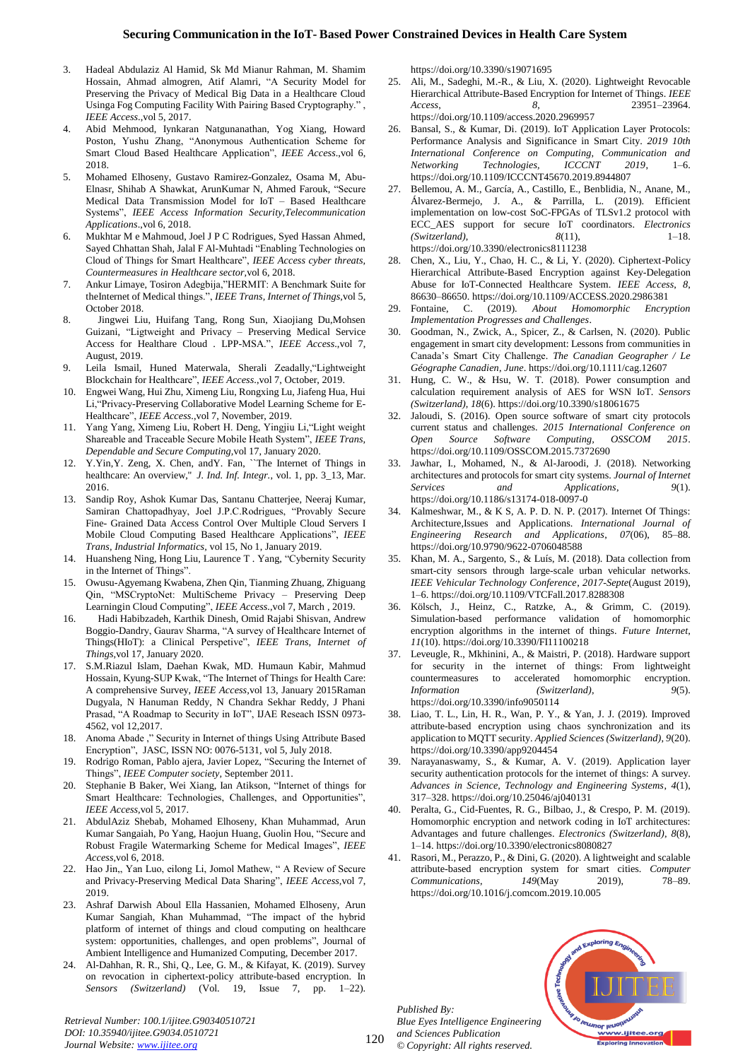- 3. Hadeal Abdulaziz Al Hamid, Sk Md Mianur Rahman, M. Shamim Hossain, Ahmad almogren, Atif Alamri, "A Security Model for Preserving the Privacy of Medical Big Data in a Healthcare Cloud Usinga Fog Computing Facility With Pairing Based Cryptography." , *IEEE Access*.,vol 5, 2017.
- 4. Abid Mehmood, Iynkaran Natgunanathan, Yog Xiang, Howard Poston, Yushu Zhang, "Anonymous Authentication Scheme for Smart Cloud Based Healthcare Application", *IEEE Access*.,vol 6, 2018.
- 5. Mohamed Elhoseny, Gustavo Ramirez-Gonzalez, Osama M, Abu-Elnasr, Shihab A Shawkat, ArunKumar N, Ahmed Farouk, "Secure Medical Data Transmission Model for IoT – Based Healthcare Systems", *IEEE Access Information Security,Telecommunication Applications*.,vol 6, 2018.
- 6. Mukhtar M e Mahmoud, Joel J P C Rodrigues, Syed Hassan Ahmed, Sayed Chhattan Shah, Jalal F Al-Muhtadi "Enabling Technologies on Cloud of Things for Smart Healthcare", *IEEE Access cyber threats, Countermeasures in Healthcare sector,*vol 6, 2018.
- 7. Ankur Limaye, Tosiron Adegbija,"HERMIT: A Benchmark Suite for theInternet of Medical things.", *IEEE Trans, Internet of Things,*vol 5, October 2018.
- 8. Jingwei Liu, Huifang Tang, Rong Sun, Xiaojiang Du,Mohsen Guizani, "Ligtweight and Privacy – Preserving Medical Service Access for Healthare Cloud . LPP-MSA.", *IEEE Access*.,vol 7, August, 2019.
- 9. Leila Ismail, Huned Materwala, Sherali Zeadally,"Lightweight Blockchain for Healthcare", *IEEE Access*.,vol 7, October, 2019.
- 10. Engwei Wang, Hui Zhu, Ximeng Liu, Rongxing Lu, Jiafeng Hua, Hui Li,"Privacy-Preserving Collaborative Model Learning Scheme for E-Healthcare", *IEEE Access*.,vol 7, November, 2019.
- 11. Yang Yang, Ximeng Liu, Robert H. Deng, Yingjiu Li,"Light weight Shareable and Traceable Secure Mobile Heath System", *IEEE Trans, Dependable and Secure Computing,*vol 17, January 2020.
- 12. Y.Yin,Y. Zeng, X. Chen, andY. Fan, ``The Internet of Things in healthcare: An overview,'' *J. Ind. Inf. Integr.*, vol. 1, pp. 3\_13, Mar. 2016.
- 13. Sandip Roy, Ashok Kumar Das, Santanu Chatterjee, Neeraj Kumar, Samiran Chattopadhyay, Joel J.P.C.Rodrigues, "Provably Secure Fine- Grained Data Access Control Over Multiple Cloud Servers I Mobile Cloud Computing Based Healthcare Applications", *IEEE Trans, Industrial Informatics,* vol 15, No 1, January 2019.
- 14. Huansheng Ning, Hong Liu, Laurence T . Yang, "Cybernity Security in the Internet of Things".
- 15. Owusu-Agyemang Kwabena, Zhen Qin, Tianming Zhuang, Zhiguang Qin, "MSCryptoNet: MultiScheme Privacy – Preserving Deep Learningin Cloud Computing", *IEEE Access*.,vol 7, March , 2019.
- 16. Hadi Habibzadeh, Karthik Dinesh, Omid Rajabi Shisvan, Andrew Boggio-Dandry, Gaurav Sharma, "A survey of Healthcare Internet of Things(HIoT): a Clinical Perspetive", *IEEE Trans, Internet of Things,*vol 17, January 2020.
- 17. S.M.Riazul Islam, Daehan Kwak, MD. Humaun Kabir, Mahmud Hossain, Kyung-SUP Kwak, "The Internet of Things for Health Care: A comprehensive Survey, *IEEE Access,*vol 13, January 2015Raman Dugyala, N Hanuman Reddy, N Chandra Sekhar Reddy, J Phani Prasad, "A Roadmap to Security in IoT", IJAE Reseach ISSN 0973- 4562, vol 12,2017.
- 18. Anoma Abade ," Security in Internet of things Using Attribute Based Encryption", JASC, ISSN NO: 0076-5131, vol 5, July 2018.
- 19. Rodrigo Roman, Pablo ajera, Javier Lopez, "Securing the Internet of Things", *IEEE Computer society,* September 2011.
- 20. Stephanie B Baker, Wei Xiang, Ian Atikson, "Internet of things for Smart Healthcare: Technologies, Challenges, and Opportunities", *IEEE Access,*vol 5, 2017.
- 21. AbdulAziz Shebab, Mohamed Elhoseny, Khan Muhammad, Arun Kumar Sangaiah, Po Yang, Haojun Huang, Guolin Hou, "Secure and Robust Fragile Watermarking Scheme for Medical Images", *IEEE Access,*vol 6, 2018.
- 22. Hao Jin,, Yan Luo, eilong Li, Jomol Mathew, " A Review of Secure and Privacy-Preserving Medical Data Sharing", *IEEE Access,*vol 7, 2019.
- 23. Ashraf Darwish Aboul Ella Hassanien, Mohamed Elhoseny, Arun Kumar Sangiah, Khan Muhammad, "The impact of the hybrid platform of internet of things and cloud computing on healthcare system: opportunities, challenges, and open problems", Journal of Ambient Intelligence and Humanized Computing, December 2017.
- 24. Al-Dahhan, R. R., Shi, Q., Lee, G. M., & Kifayat, K. (2019). Survey on revocation in ciphertext-policy attribute-based encryption. In *Sensors (Switzerland)* (Vol. 19, Issue 7, pp. 1–22).

*Retrieval Number: 100.1/ijitee.G90340510721 DOI: 10.35940/ijitee.G9034.0510721 Journal Website: www.ijitee.org*

https://doi.org/10.3390/s19071695

- 25. Ali, M., Sadeghi, M.-R., & Liu, X. (2020). Lightweight Revocable Hierarchical Attribute-Based Encryption for Internet of Things. *IEEE Access*, *8*, 23951–23964. https://doi.org/10.1109/access.2020.2969957
- 26. Bansal, S., & Kumar, Di. (2019). IoT Application Layer Protocols: Performance Analysis and Significance in Smart City. *2019 10th International Conference on Computing, Communication and Networking Technologies, ICCCNT 2019*, 1–6. https://doi.org/10.1109/ICCCNT45670.2019.8944807
- 27. Bellemou, A. M., García, A., Castillo, E., Benblidia, N., Anane, M., Álvarez-Bermejo, J. A., & Parrilla, L. (2019). Efficient implementation on low-cost SoC-FPGAs of TLSv1.2 protocol with ECC\_AES support for secure IoT coordinators. *Electronics (Switzerland)*, *8*(11), 1–18. https://doi.org/10.3390/electronics8111238
- Chen, X., Liu, Y., Chao, H. C., & Li, Y. (2020). Ciphertext-Policy Hierarchical Attribute-Based Encryption against Key-Delegation Abuse for IoT-Connected Healthcare System. *IEEE Access*, *8*, 86630–86650. https://doi.org/10.1109/ACCESS.2020.2986381
- 29. Fontaine, C. (2019). *About Homomorphic Encryption Implementation Progresses and Challenges*.
- 30. Goodman, N., Zwick, A., Spicer, Z., & Carlsen, N. (2020). Public engagement in smart city development: Lessons from communities in Canada's Smart City Challenge. *The Canadian Geographer / Le Géographe Canadien*, *June*. https://doi.org/10.1111/cag.12607
- 31. Hung, C. W., & Hsu, W. T. (2018). Power consumption and calculation requirement analysis of AES for WSN IoT. *Sensors (Switzerland)*, *18*(6). https://doi.org/10.3390/s18061675
- 32. Jaloudi, S. (2016). Open source software of smart city protocols current status and challenges. *2015 International Conference on Open Source Software Computing, OSSCOM 2015*. https://doi.org/10.1109/OSSCOM.2015.7372690
- 33. Jawhar, I., Mohamed, N., & Al-Jaroodi, J. (2018). Networking architectures and protocols for smart city systems. *Journal of Internet Services and Applications*, *9*(1). https://doi.org/10.1186/s13174-018-0097-0
- 34. Kalmeshwar, M., & K S, A. P. D. N. P. (2017). Internet Of Things: Architecture,Issues and Applications. *International Journal of Engineering Research and Applications*, *07*(06), 85–88. https://doi.org/10.9790/9622-0706048588
- 35. Khan, M. A., Sargento, S., & Luís, M. (2018). Data collection from smart-city sensors through large-scale urban vehicular networks. *IEEE Vehicular Technology Conference*, *2017*-*Septe*(August 2019), 1–6. https://doi.org/10.1109/VTCFall.2017.8288308
- 36. Kölsch, J., Heinz, C., Ratzke, A., & Grimm, C. (2019). Simulation-based performance validation of homomorphic encryption algorithms in the internet of things. *Future Internet*, *11*(10). https://doi.org/10.3390/FI11100218
- 37. Leveugle, R., Mkhinini, A., & Maistri, P. (2018). Hardware support for security in the internet of things: From lightweight countermeasures to accelerated homomorphic encryption. *Information (Switzerland)*, *9*(5). https://doi.org/10.3390/info9050114
- 38. Liao, T. L., Lin, H. R., Wan, P. Y., & Yan, J. J. (2019). Improved attribute-based encryption using chaos synchronization and its application to MQTT security. *Applied Sciences (Switzerland)*, *9*(20). https://doi.org/10.3390/app9204454
- 39. Narayanaswamy, S., & Kumar, A. V. (2019). Application layer security authentication protocols for the internet of things: A survey. *Advances in Science, Technology and Engineering Systems*, *4*(1), 317–328. https://doi.org/10.25046/aj040131
- 40. Peralta, G., Cid-Fuentes, R. G., Bilbao, J., & Crespo, P. M. (2019). Homomorphic encryption and network coding in IoT architectures: Advantages and future challenges. *Electronics (Switzerland)*, *8*(8), 1–14. https://doi.org/10.3390/electronics8080827
- 41. Rasori, M., Perazzo, P., & Dini, G. (2020). A lightweight and scalable attribute-based encryption system for smart cities. *Computer Communications*, *149*(May 2019), 78–89. https://doi.org/10.1016/j.comcom.2019.10.005

*Published By: Blue Eyes Intelligence Engineering and Sciences Publication © Copyright: All rights reserved.*



120